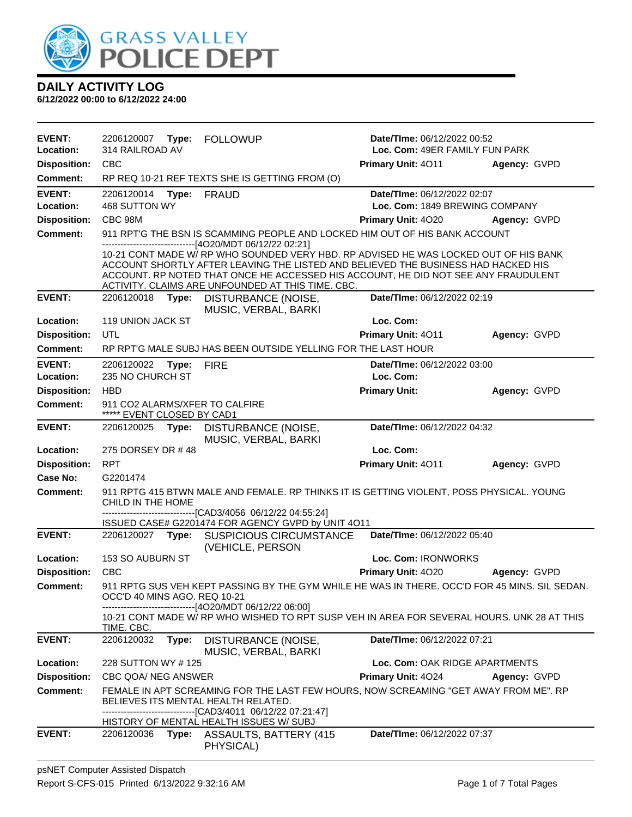

| <b>EVENT:</b><br>Location: | 2206120007<br>Date/TIme: 06/12/2022 00:52<br>Type:<br><b>FOLLOWUP</b><br>314 RAILROAD AV<br>Loc. Com: 49ER FAMILY FUN PARK |                                                                                                                                                                                                                                                                                                                      |                                                               |              |
|----------------------------|----------------------------------------------------------------------------------------------------------------------------|----------------------------------------------------------------------------------------------------------------------------------------------------------------------------------------------------------------------------------------------------------------------------------------------------------------------|---------------------------------------------------------------|--------------|
| <b>Disposition:</b>        | <b>CBC</b>                                                                                                                 |                                                                                                                                                                                                                                                                                                                      | <b>Primary Unit: 4011</b>                                     | Agency: GVPD |
| Comment:                   |                                                                                                                            | RP REQ 10-21 REF TEXTS SHE IS GETTING FROM (O)                                                                                                                                                                                                                                                                       |                                                               |              |
| <b>EVENT:</b><br>Location: | 2206120014<br>Type:<br>468 SUTTON WY                                                                                       | <b>FRAUD</b>                                                                                                                                                                                                                                                                                                         | Date/TIme: 06/12/2022 02:07<br>Loc. Com: 1849 BREWING COMPANY |              |
| <b>Disposition:</b>        | CBC 98M                                                                                                                    |                                                                                                                                                                                                                                                                                                                      | Primary Unit: 4020                                            | Agency: GVPD |
| <b>Comment:</b>            |                                                                                                                            | 911 RPT'G THE BSN IS SCAMMING PEOPLE AND LOCKED HIM OUT OF HIS BANK ACCOUNT                                                                                                                                                                                                                                          |                                                               |              |
|                            |                                                                                                                            | ---------------------[4O20/MDT 06/12/22 02:21]                                                                                                                                                                                                                                                                       |                                                               |              |
|                            |                                                                                                                            | 10-21 CONT MADE W/ RP WHO SOUNDED VERY HBD. RP ADVISED HE WAS LOCKED OUT OF HIS BANK<br>ACCOUNT SHORTLY AFTER LEAVING THE LISTED AND BELIEVED THE BUSINESS HAD HACKED HIS<br>ACCOUNT. RP NOTED THAT ONCE HE ACCESSED HIS ACCOUNT, HE DID NOT SEE ANY FRAUDULENT<br>ACTIVITY. CLAIMS ARE UNFOUNDED AT THIS TIME. CBC. |                                                               |              |
| <b>EVENT:</b>              | 2206120018<br>Type:                                                                                                        | DISTURBANCE (NOISE,<br>MUSIC, VERBAL, BARKI                                                                                                                                                                                                                                                                          | Date/TIme: 06/12/2022 02:19                                   |              |
| Location:                  | 119 UNION JACK ST                                                                                                          |                                                                                                                                                                                                                                                                                                                      | Loc. Com:                                                     |              |
| <b>Disposition:</b>        | UTL                                                                                                                        |                                                                                                                                                                                                                                                                                                                      | Primary Unit: 4011                                            | Agency: GVPD |
| <b>Comment:</b>            |                                                                                                                            | RP RPT'G MALE SUBJ HAS BEEN OUTSIDE YELLING FOR THE LAST HOUR                                                                                                                                                                                                                                                        |                                                               |              |
| <b>EVENT:</b><br>Location: | 2206120022 Type:<br>235 NO CHURCH ST                                                                                       | <b>FIRE</b>                                                                                                                                                                                                                                                                                                          | Date/TIme: 06/12/2022 03:00<br>Loc. Com:                      |              |
| <b>Disposition:</b>        | <b>HBD</b>                                                                                                                 |                                                                                                                                                                                                                                                                                                                      | <b>Primary Unit:</b>                                          | Agency: GVPD |
| <b>Comment:</b>            | 911 CO2 ALARMS/XFER TO CALFIRE<br>***** EVENT CLOSED BY CAD1                                                               |                                                                                                                                                                                                                                                                                                                      |                                                               |              |
| <b>EVENT:</b>              | 2206120025<br>Type:                                                                                                        | DISTURBANCE (NOISE,<br>MUSIC, VERBAL, BARKI                                                                                                                                                                                                                                                                          | Date/TIme: 06/12/2022 04:32                                   |              |
| Location:                  | 275 DORSEY DR #48                                                                                                          |                                                                                                                                                                                                                                                                                                                      | Loc. Com:                                                     |              |
| <b>Disposition:</b>        | <b>RPT</b>                                                                                                                 |                                                                                                                                                                                                                                                                                                                      | Primary Unit: 4011                                            | Agency: GVPD |
| <b>Case No:</b>            | G2201474                                                                                                                   |                                                                                                                                                                                                                                                                                                                      |                                                               |              |
| <b>Comment:</b>            | CHILD IN THE HOME                                                                                                          | 911 RPTG 415 BTWN MALE AND FEMALE. RP THINKS IT IS GETTING VIOLENT, POSS PHYSICAL. YOUNG                                                                                                                                                                                                                             |                                                               |              |
|                            |                                                                                                                            | -------------------------------[CAD3/4056 06/12/22 04:55:24]<br>ISSUED CASE# G2201474 FOR AGENCY GVPD by UNIT 4O11                                                                                                                                                                                                   |                                                               |              |
| <b>EVENT:</b>              | 2206120027 Type:                                                                                                           | <b>SUSPICIOUS CIRCUMSTANCE</b><br>(VEHICLE, PERSON                                                                                                                                                                                                                                                                   | Date/TIme: 06/12/2022 05:40                                   |              |
| Location:                  | 153 SO AUBURN ST                                                                                                           |                                                                                                                                                                                                                                                                                                                      | Loc. Com: IRONWORKS                                           |              |
| <b>Disposition:</b>        | <b>CBC</b>                                                                                                                 |                                                                                                                                                                                                                                                                                                                      | Primary Unit: 4020                                            | Agency: GVPD |
| <b>Comment:</b>            | OCC'D 40 MINS AGO. REQ 10-21                                                                                               | 911 RPTG SUS VEH KEPT PASSING BY THE GYM WHILE HE WAS IN THERE. OCC'D FOR 45 MINS. SIL SEDAN.                                                                                                                                                                                                                        |                                                               |              |
|                            | TIME. CBC.                                                                                                                 | ----------------[4O20/MDT 06/12/22 06:00]<br>10-21 CONT MADE W/ RP WHO WISHED TO RPT SUSP VEH IN AREA FOR SEVERAL HOURS. UNK 28 AT THIS                                                                                                                                                                              |                                                               |              |
| <b>EVENT:</b>              | 2206120032<br>Type:                                                                                                        | DISTURBANCE (NOISE,<br>MUSIC, VERBAL, BARKI                                                                                                                                                                                                                                                                          | Date/TIme: 06/12/2022 07:21                                   |              |
| Location:                  | 228 SUTTON WY #125                                                                                                         |                                                                                                                                                                                                                                                                                                                      | Loc. Com: OAK RIDGE APARTMENTS                                |              |
| <b>Disposition:</b>        | CBC QOA/ NEG ANSWER                                                                                                        |                                                                                                                                                                                                                                                                                                                      | <b>Primary Unit: 4024</b>                                     | Agency: GVPD |
| Comment:                   | BELIEVES ITS MENTAL HEALTH RELATED.                                                                                        | FEMALE IN APT SCREAMING FOR THE LAST FEW HOURS, NOW SCREAMING "GET AWAY FROM ME". RP                                                                                                                                                                                                                                 |                                                               |              |
|                            |                                                                                                                            | ------------------[CAD3/4011_06/12/22 07:21:47]<br>HISTORY OF MENTAL HEALTH ISSUES W/ SUBJ                                                                                                                                                                                                                           |                                                               |              |
| <b>EVENT:</b>              | 2206120036                                                                                                                 | Type: ASSAULTS, BATTERY (415<br>PHYSICAL)                                                                                                                                                                                                                                                                            | Date/TIme: 06/12/2022 07:37                                   |              |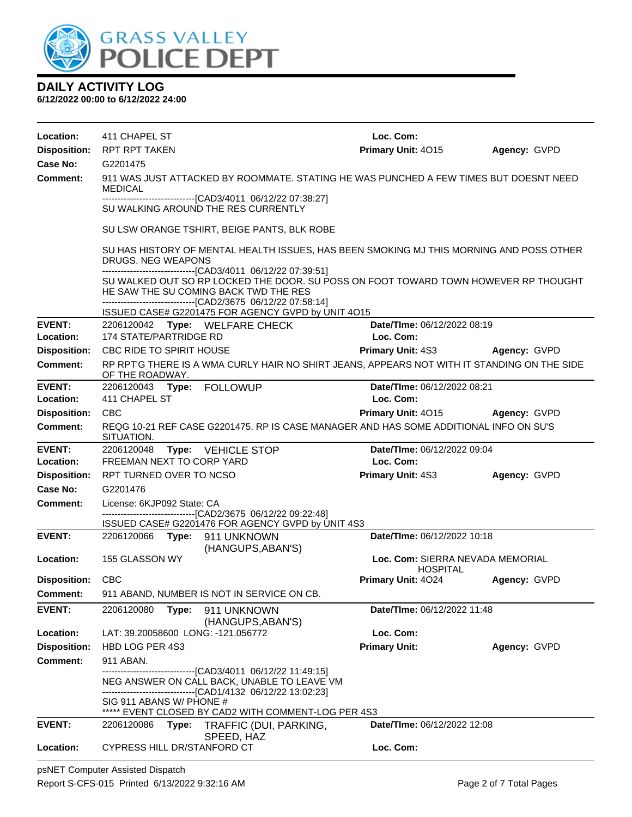

**6/12/2022 00:00 to 6/12/2022 24:00**

| Location:                  | 411 CHAPEL ST                                                                                                                                                                                                                                                | Loc. Com:                                           |              |  |  |  |  |
|----------------------------|--------------------------------------------------------------------------------------------------------------------------------------------------------------------------------------------------------------------------------------------------------------|-----------------------------------------------------|--------------|--|--|--|--|
| <b>Disposition:</b>        | RPT RPT TAKEN                                                                                                                                                                                                                                                | Primary Unit: 4015                                  | Agency: GVPD |  |  |  |  |
| Case No:                   | G2201475                                                                                                                                                                                                                                                     |                                                     |              |  |  |  |  |
| Comment:                   | 911 WAS JUST ATTACKED BY ROOMMATE. STATING HE WAS PUNCHED A FEW TIMES BUT DOESNT NEED<br>MEDICAL                                                                                                                                                             |                                                     |              |  |  |  |  |
|                            | -------------------------------[CAD3/4011 06/12/22 07:38:27]<br>SU WALKING AROUND THE RES CURRENTLY                                                                                                                                                          |                                                     |              |  |  |  |  |
|                            | SU LSW ORANGE TSHIRT, BEIGE PANTS, BLK ROBE                                                                                                                                                                                                                  |                                                     |              |  |  |  |  |
|                            | SU HAS HISTORY OF MENTAL HEALTH ISSUES, HAS BEEN SMOKING MJ THIS MORNING AND POSS OTHER<br>DRUGS. NEG WEAPONS                                                                                                                                                |                                                     |              |  |  |  |  |
|                            | -------------------------------[CAD3/4011_06/12/22_07:39:51]<br>SU WALKED OUT SO RP LOCKED THE DOOR. SU POSS ON FOOT TOWARD TOWN HOWEVER RP THOUGHT<br>HE SAW THE SU COMING BACK TWD THE RES<br>-------------------------------[CAD2/3675 06/12/22 07:58:14] |                                                     |              |  |  |  |  |
|                            | ISSUED CASE# G2201475 FOR AGENCY GVPD by UNIT 4O15                                                                                                                                                                                                           |                                                     |              |  |  |  |  |
| <b>EVENT:</b><br>Location: | 2206120042 Type: WELFARE CHECK<br><b>174 STATE/PARTRIDGE RD</b>                                                                                                                                                                                              | Date/TIme: 06/12/2022 08:19<br>Loc. Com:            |              |  |  |  |  |
| <b>Disposition:</b>        | CBC RIDE TO SPIRIT HOUSE                                                                                                                                                                                                                                     | <b>Primary Unit: 4S3</b>                            | Agency: GVPD |  |  |  |  |
| <b>Comment:</b>            | RP RPT'G THERE IS A WMA CURLY HAIR NO SHIRT JEANS, APPEARS NOT WITH IT STANDING ON THE SIDE<br>OF THE ROADWAY.                                                                                                                                               |                                                     |              |  |  |  |  |
| <b>EVENT:</b>              |                                                                                                                                                                                                                                                              | Date/TIme: 06/12/2022 08:21                         |              |  |  |  |  |
| Location:                  | 411 CHAPEL ST                                                                                                                                                                                                                                                | Loc. Com:                                           |              |  |  |  |  |
| <b>Disposition:</b>        | <b>CBC</b>                                                                                                                                                                                                                                                   | <b>Primary Unit: 4015</b>                           | Agency: GVPD |  |  |  |  |
| <b>Comment:</b>            | REQG 10-21 REF CASE G2201475. RP IS CASE MANAGER AND HAS SOME ADDITIONAL INFO ON SU'S<br>SITUATION.                                                                                                                                                          |                                                     |              |  |  |  |  |
|                            |                                                                                                                                                                                                                                                              |                                                     |              |  |  |  |  |
| <b>EVENT:</b>              | 2206120048<br>Type: VEHICLE STOP                                                                                                                                                                                                                             | Date/TIme: 06/12/2022 09:04                         |              |  |  |  |  |
| Location:                  | FREEMAN NEXT TO CORP YARD                                                                                                                                                                                                                                    | Loc. Com:                                           |              |  |  |  |  |
| <b>Disposition:</b>        | RPT TURNED OVER TO NCSO                                                                                                                                                                                                                                      | <b>Primary Unit: 4S3</b>                            | Agency: GVPD |  |  |  |  |
| Case No:                   | G2201476                                                                                                                                                                                                                                                     |                                                     |              |  |  |  |  |
| <b>Comment:</b>            | License: 6KJP092 State: CA                                                                                                                                                                                                                                   |                                                     |              |  |  |  |  |
|                            | ------------------------------[CAD2/3675 06/12/22 09:22:48]<br>ISSUED CASE# G2201476 FOR AGENCY GVPD by UNIT 4S3                                                                                                                                             |                                                     |              |  |  |  |  |
| <b>EVENT:</b>              | 2206120066 Type: 911 UNKNOWN                                                                                                                                                                                                                                 | Date/TIme: 06/12/2022 10:18                         |              |  |  |  |  |
| Location:                  | (HANGUPS, ABAN'S)<br>155 GLASSON WY                                                                                                                                                                                                                          | Loc. Com: SIERRA NEVADA MEMORIAL<br><b>HOSPITAL</b> |              |  |  |  |  |
| <b>Disposition:</b>        | <b>CBC</b>                                                                                                                                                                                                                                                   | <b>Primary Unit: 4024</b>                           | Agency: GVPD |  |  |  |  |
| Comment:                   | 911 ABAND, NUMBER IS NOT IN SERVICE ON CB.                                                                                                                                                                                                                   |                                                     |              |  |  |  |  |
| <b>EVENT:</b>              | 2206120080<br>Type:<br>911 UNKNOWN                                                                                                                                                                                                                           | Date/TIme: 06/12/2022 11:48                         |              |  |  |  |  |
| Location:                  | (HANGUPS, ABAN'S)<br>LAT: 39.20058600 LONG: -121.056772                                                                                                                                                                                                      | Loc. Com:                                           |              |  |  |  |  |
| <b>Disposition:</b>        | HBD LOG PER 4S3                                                                                                                                                                                                                                              | <b>Primary Unit:</b>                                | Agency: GVPD |  |  |  |  |
| <b>Comment:</b>            | 911 ABAN.                                                                                                                                                                                                                                                    |                                                     |              |  |  |  |  |
|                            | -------------------------------[CAD3/4011_06/12/22 11:49:15]<br>NEG ANSWER ON CALL BACK, UNABLE TO LEAVE VM                                                                                                                                                  |                                                     |              |  |  |  |  |
|                            | -------------------------------[CAD1/4132 06/12/22 13:02:23]<br>SIG 911 ABANS W/ PHONE #<br>***** EVENT CLOSED BY CAD2 WITH COMMENT-LOG PER 4S3                                                                                                              |                                                     |              |  |  |  |  |
| <b>EVENT:</b>              | 2206120086<br>Type:<br>TRAFFIC (DUI, PARKING,<br>SPEED, HAZ                                                                                                                                                                                                  | Date/TIme: 06/12/2022 12:08                         |              |  |  |  |  |

psNET Computer Assisted Dispatch Report S-CFS-015 Printed 6/13/2022 9:32:16 AM Page 2 of 7 Total Pages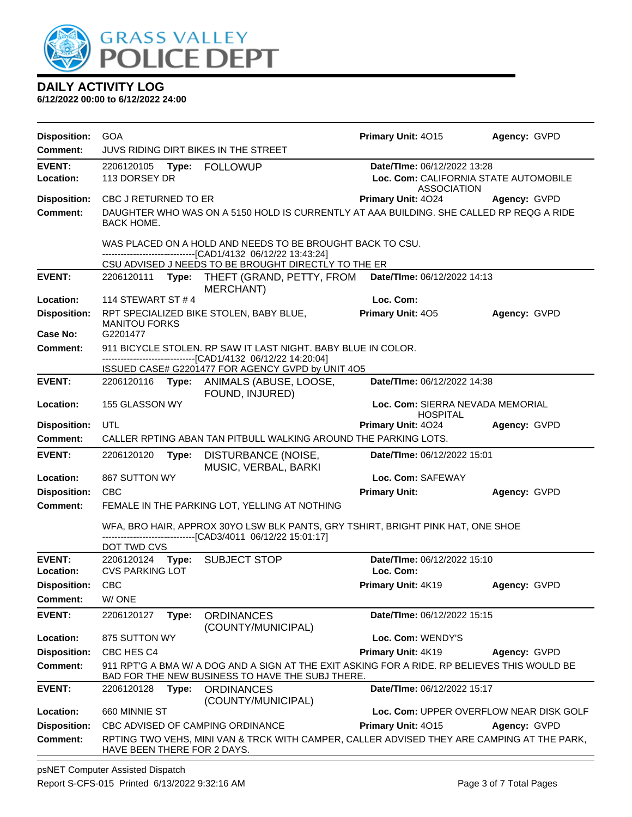

**6/12/2022 00:00 to 6/12/2022 24:00**

| <b>Disposition:</b>             | <b>GOA</b>                                                                                                                                       |       |                                                                                                                                                  | Primary Unit: 4015                       | Agency: GVPD                            |  |
|---------------------------------|--------------------------------------------------------------------------------------------------------------------------------------------------|-------|--------------------------------------------------------------------------------------------------------------------------------------------------|------------------------------------------|-----------------------------------------|--|
| <b>Comment:</b>                 | JUVS RIDING DIRT BIKES IN THE STREET                                                                                                             |       |                                                                                                                                                  |                                          |                                         |  |
| <b>EVENT:</b><br>Location:      | Date/TIme: 06/12/2022 13:28<br>113 DORSEY DR<br>Loc. Com: CALIFORNIA STATE AUTOMOBILE                                                            |       |                                                                                                                                                  |                                          |                                         |  |
| <b>Disposition:</b>             | CBC J RETURNED TO ER                                                                                                                             |       |                                                                                                                                                  | <b>ASSOCIATION</b><br>Primary Unit: 4024 | Agency: GVPD                            |  |
| <b>Comment:</b>                 |                                                                                                                                                  |       | DAUGHTER WHO WAS ON A 5150 HOLD IS CURRENTLY AT AAA BUILDING. SHE CALLED RP REQG A RIDE                                                          |                                          |                                         |  |
|                                 | <b>BACK HOME.</b>                                                                                                                                |       |                                                                                                                                                  |                                          |                                         |  |
|                                 | WAS PLACED ON A HOLD AND NEEDS TO BE BROUGHT BACK TO CSU.<br>------------------------------[CAD1/4132 06/12/22 13:43:24]                         |       |                                                                                                                                                  |                                          |                                         |  |
|                                 |                                                                                                                                                  |       | CSU ADVISED J NEEDS TO BE BROUGHT DIRECTLY TO THE ER                                                                                             |                                          |                                         |  |
| <b>EVENT:</b>                   |                                                                                                                                                  |       | 2206120111 Type: THEFT (GRAND, PETTY, FROM Date/Time: 06/12/2022 14:13<br><b>MERCHANT</b> )                                                      |                                          |                                         |  |
| Location:                       | 114 STEWART ST # 4                                                                                                                               |       |                                                                                                                                                  | Loc. Com:                                |                                         |  |
| <b>Disposition:</b><br>Case No: | <b>MANITOU FORKS</b><br>G2201477                                                                                                                 |       | RPT SPECIALIZED BIKE STOLEN, BABY BLUE,                                                                                                          | <b>Primary Unit: 405</b>                 | Agency: GVPD                            |  |
| Comment:                        |                                                                                                                                                  |       | 911 BICYCLE STOLEN. RP SAW IT LAST NIGHT. BABY BLUE IN COLOR.                                                                                    |                                          |                                         |  |
|                                 |                                                                                                                                                  |       | -------------------------------[CAD1/4132 06/12/22 14:20:04]                                                                                     |                                          |                                         |  |
|                                 |                                                                                                                                                  |       | ISSUED CASE# G2201477 FOR AGENCY GVPD by UNIT 4O5                                                                                                |                                          |                                         |  |
| <b>EVENT:</b>                   |                                                                                                                                                  |       | 2206120116 Type: ANIMALS (ABUSE, LOOSE,                                                                                                          | Date/TIme: 06/12/2022 14:38              |                                         |  |
| Location:                       | FOUND, INJURED)<br>Loc. Com: SIERRA NEVADA MEMORIAL<br>155 GLASSON WY<br><b>HOSPITAL</b>                                                         |       |                                                                                                                                                  |                                          |                                         |  |
| <b>Disposition:</b>             | UTL                                                                                                                                              |       |                                                                                                                                                  | <b>Primary Unit: 4024</b>                | Agency: GVPD                            |  |
| Comment:                        |                                                                                                                                                  |       | CALLER RPTING ABAN TAN PITBULL WALKING AROUND THE PARKING LOTS.                                                                                  |                                          |                                         |  |
| <b>EVENT:</b>                   | Date/TIme: 06/12/2022 15:01<br>2206120120<br>Type:<br>DISTURBANCE (NOISE,<br>MUSIC, VERBAL, BARKI                                                |       |                                                                                                                                                  |                                          |                                         |  |
| Location:                       | 867 SUTTON WY                                                                                                                                    |       |                                                                                                                                                  | Loc. Com: SAFEWAY                        |                                         |  |
| <b>Disposition:</b>             | <b>CBC</b>                                                                                                                                       |       |                                                                                                                                                  | <b>Primary Unit:</b>                     | Agency: GVPD                            |  |
| Comment:                        | FEMALE IN THE PARKING LOT, YELLING AT NOTHING                                                                                                    |       |                                                                                                                                                  |                                          |                                         |  |
|                                 | WFA, BRO HAIR, APPROX 30YO LSW BLK PANTS, GRY TSHIRT, BRIGHT PINK HAT, ONE SHOE<br>--------------------------------[CAD3/4011 06/12/22 15:01:17] |       |                                                                                                                                                  |                                          |                                         |  |
|                                 | DOT TWD CVS                                                                                                                                      |       |                                                                                                                                                  |                                          |                                         |  |
| <b>EVENT:</b><br>Location:      | <b>CVS PARKING LOT</b>                                                                                                                           |       | 2206120124 Type: SUBJECT STOP                                                                                                                    | Date/TIme: 06/12/2022 15:10<br>Loc. Com: |                                         |  |
| <b>Disposition:</b>             | <b>CBC</b>                                                                                                                                       |       |                                                                                                                                                  | Primary Unit: 4K19                       | Agency: GVPD                            |  |
| <b>Comment:</b>                 | W/ONE                                                                                                                                            |       |                                                                                                                                                  |                                          |                                         |  |
| <b>EVENT:</b>                   | 2206120127                                                                                                                                       | Type: | <b>ORDINANCES</b><br>(COUNTY/MUNICIPAL)                                                                                                          | Date/TIme: 06/12/2022 15:15              |                                         |  |
| Location:                       | 875 SUTTON WY                                                                                                                                    |       |                                                                                                                                                  | Loc. Com: WENDY'S                        |                                         |  |
| <b>Disposition:</b>             | CBC HES C4                                                                                                                                       |       |                                                                                                                                                  | Primary Unit: 4K19                       | Agency: GVPD                            |  |
| Comment:                        |                                                                                                                                                  |       | 911 RPT'G A BMA W/ A DOG AND A SIGN AT THE EXIT ASKING FOR A RIDE. RP BELIEVES THIS WOULD BE<br>BAD FOR THE NEW BUSINESS TO HAVE THE SUBJ THERE. |                                          |                                         |  |
| <b>EVENT:</b>                   | 2206120128                                                                                                                                       | Type: | <b>ORDINANCES</b><br>(COUNTY/MUNICIPAL)                                                                                                          | Date/TIme: 06/12/2022 15:17              |                                         |  |
| Location:                       | 660 MINNIE ST                                                                                                                                    |       |                                                                                                                                                  |                                          | Loc. Com: UPPER OVERFLOW NEAR DISK GOLF |  |
| <b>Disposition:</b>             |                                                                                                                                                  |       | CBC ADVISED OF CAMPING ORDINANCE                                                                                                                 | <b>Primary Unit: 4015</b>                | Agency: GVPD                            |  |
| <b>Comment:</b>                 | HAVE BEEN THERE FOR 2 DAYS.                                                                                                                      |       | RPTING TWO VEHS, MINI VAN & TRCK WITH CAMPER, CALLER ADVISED THEY ARE CAMPING AT THE PARK,                                                       |                                          |                                         |  |

psNET Computer Assisted Dispatch Report S-CFS-015 Printed 6/13/2022 9:32:16 AM Page 3 of 7 Total Pages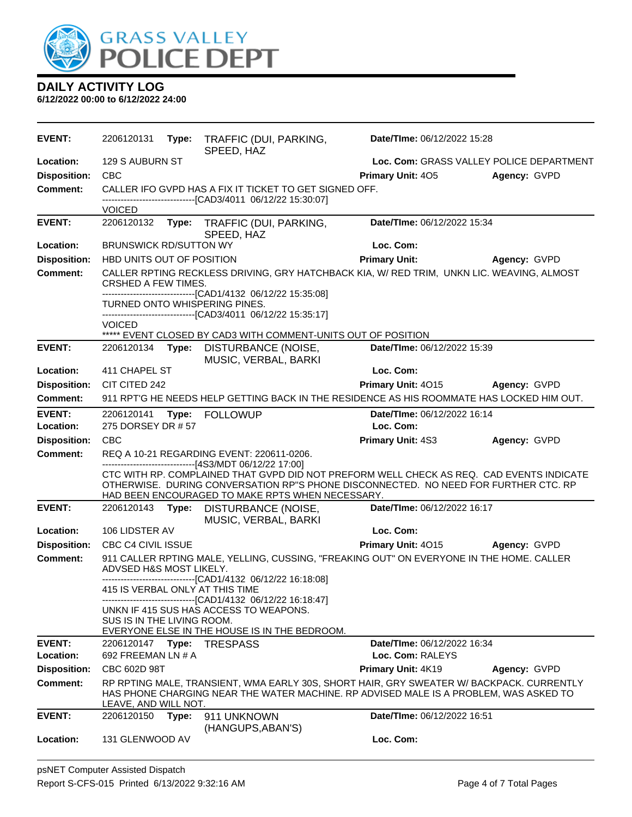

| <b>EVENT:</b>              | 2206120131                    | Type: | TRAFFIC (DUI, PARKING,<br>SPEED, HAZ                                                                                                                     | Date/TIme: 06/12/2022 15:28                                                                                                                                                       |                     |
|----------------------------|-------------------------------|-------|----------------------------------------------------------------------------------------------------------------------------------------------------------|-----------------------------------------------------------------------------------------------------------------------------------------------------------------------------------|---------------------|
| Location:                  | 129 S AUBURN ST               |       |                                                                                                                                                          | Loc. Com: GRASS VALLEY POLICE DEPARTMENT                                                                                                                                          |                     |
| <b>Disposition:</b>        | <b>CBC</b>                    |       |                                                                                                                                                          | Primary Unit: 405                                                                                                                                                                 | Agency: GVPD        |
| <b>Comment:</b>            |                               |       | CALLER IFO GVPD HAS A FIX IT TICKET TO GET SIGNED OFF.<br>-------------------------------[CAD3/4011 06/12/22 15:30:07]                                   |                                                                                                                                                                                   |                     |
|                            | <b>VOICED</b>                 |       |                                                                                                                                                          |                                                                                                                                                                                   |                     |
| <b>EVENT:</b>              | 2206120132                    |       | Type: TRAFFIC (DUI, PARKING,<br>SPEED, HAZ                                                                                                               | Date/TIme: 06/12/2022 15:34                                                                                                                                                       |                     |
| Location:                  | <b>BRUNSWICK RD/SUTTON WY</b> |       |                                                                                                                                                          | Loc. Com:                                                                                                                                                                         |                     |
| <b>Disposition:</b>        | HBD UNITS OUT OF POSITION     |       |                                                                                                                                                          | <b>Primary Unit:</b>                                                                                                                                                              | Agency: GVPD        |
| <b>Comment:</b>            | CRSHED A FEW TIMES.           |       | --------------------[CAD1/4132 06/12/22 15:35:08]                                                                                                        | CALLER RPTING RECKLESS DRIVING, GRY HATCHBACK KIA, W/ RED TRIM, UNKN LIC. WEAVING, ALMOST                                                                                         |                     |
|                            | <b>VOICED</b>                 |       | TURNED ONTO WHISPERING PINES.<br>-------------------------------[CAD3/4011 06/12/22 15:35:17]                                                            |                                                                                                                                                                                   |                     |
|                            |                               |       | ***** EVENT CLOSED BY CAD3 WITH COMMENT-UNITS OUT OF POSITION                                                                                            |                                                                                                                                                                                   |                     |
| <b>EVENT:</b>              | 2206120134                    | Type: | DISTURBANCE (NOISE,<br>MUSIC, VERBAL, BARKI                                                                                                              | Date/TIme: 06/12/2022 15:39                                                                                                                                                       |                     |
| Location:                  | 411 CHAPEL ST                 |       |                                                                                                                                                          | Loc. Com:                                                                                                                                                                         |                     |
| <b>Disposition:</b>        | CIT CITED 242                 |       |                                                                                                                                                          | Primary Unit: 4015                                                                                                                                                                | <b>Agency: GVPD</b> |
| <b>Comment:</b>            |                               |       |                                                                                                                                                          | 911 RPT'G HE NEEDS HELP GETTING BACK IN THE RESIDENCE AS HIS ROOMMATE HAS LOCKED HIM OUT.                                                                                         |                     |
| <b>EVENT:</b><br>Location: | 275 DORSEY DR #57             |       | 2206120141 Type: FOLLOWUP                                                                                                                                | Date/TIme: 06/12/2022 16:14<br>Loc. Com:                                                                                                                                          |                     |
| <b>Disposition:</b>        | <b>CBC</b>                    |       |                                                                                                                                                          | Primary Unit: 4S3                                                                                                                                                                 | Agency: GVPD        |
| <b>Comment:</b>            |                               |       | REQ A 10-21 REGARDING EVENT: 220611-0206.                                                                                                                |                                                                                                                                                                                   |                     |
|                            |                               |       | ------------------------------[4S3/MDT 06/12/22 17:00]<br>HAD BEEN ENCOURAGED TO MAKE RPTS WHEN NECESSARY.                                               | CTC WITH RP. COMPLAINED THAT GVPD DID NOT PREFORM WELL CHECK AS REQ. CAD EVENTS INDICATE<br>OTHERWISE. DURING CONVERSATION RP"S PHONE DISCONNECTED. NO NEED FOR FURTHER CTC. RP   |                     |
| <b>EVENT:</b>              | 2206120143                    | Type: | DISTURBANCE (NOISE,<br>MUSIC, VERBAL, BARKI                                                                                                              | Date/TIme: 06/12/2022 16:17                                                                                                                                                       |                     |
| Location:                  | 106 LIDSTER AV                |       |                                                                                                                                                          | Loc. Com:                                                                                                                                                                         |                     |
| <b>Disposition:</b>        | CBC C4 CIVIL ISSUE            |       |                                                                                                                                                          | Primary Unit: 4015                                                                                                                                                                | Agency: GVPD        |
| <b>Comment:</b>            | ADVSED H&S MOST LIKELY.       |       | --------------------------------[CAD1/4132 06/12/22 16:18:08]                                                                                            | 911 CALLER RPTING MALE, YELLING, CUSSING, "FREAKING OUT" ON EVERYONE IN THE HOME. CALLER                                                                                          |                     |
|                            |                               |       | 415 IS VERBAL ONLY AT THIS TIME                                                                                                                          |                                                                                                                                                                                   |                     |
|                            | SUS IS IN THE LIVING ROOM.    |       | --------------------------------[CAD1/4132 06/12/22 16:18:47]<br>UNKN IF 415 SUS HAS ACCESS TO WEAPONS.<br>EVERYONE ELSE IN THE HOUSE IS IN THE BEDROOM. |                                                                                                                                                                                   |                     |
| <b>EVENT:</b>              | 2206120147                    | Type: | <b>TRESPASS</b>                                                                                                                                          | Date/TIme: 06/12/2022 16:34                                                                                                                                                       |                     |
| Location:                  | 692 FREEMAN LN # A            |       |                                                                                                                                                          | Loc. Com: RALEYS                                                                                                                                                                  |                     |
| <b>Disposition:</b>        | CBC 602D 98T                  |       |                                                                                                                                                          | Primary Unit: 4K19                                                                                                                                                                | Agency: GVPD        |
| <b>Comment:</b>            | <u>LEAVE, AND WILL NOT.</u>   |       |                                                                                                                                                          | RP RPTING MALE, TRANSIENT, WMA EARLY 30S, SHORT HAIR, GRY SWEATER W/ BACKPACK. CURRENTLY<br>HAS PHONE CHARGING NEAR THE WATER MACHINE. RP ADVISED MALE IS A PROBLEM, WAS ASKED TO |                     |
| <b>EVENT:</b>              | 2206120150                    | Type: | 911 UNKNOWN                                                                                                                                              | Date/TIme: 06/12/2022 16:51                                                                                                                                                       |                     |
| Location:                  | 131 GLENWOOD AV               |       | (HANGUPS, ABAN'S)                                                                                                                                        | Loc. Com:                                                                                                                                                                         |                     |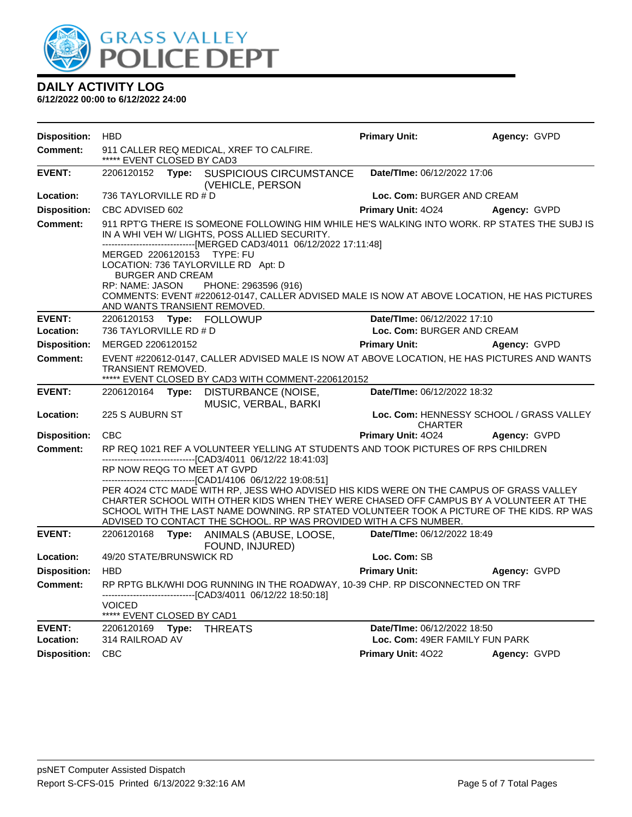

| <b>Disposition:</b> | <b>HBD</b>                                                                                                                                                                                                            |       |                                                                                                                                                                                                                                                                                                                                                    | <b>Primary Unit:</b>           | Agency: GVPD                             |
|---------------------|-----------------------------------------------------------------------------------------------------------------------------------------------------------------------------------------------------------------------|-------|----------------------------------------------------------------------------------------------------------------------------------------------------------------------------------------------------------------------------------------------------------------------------------------------------------------------------------------------------|--------------------------------|------------------------------------------|
| <b>Comment:</b>     | ***** EVENT CLOSED BY CAD3                                                                                                                                                                                            |       | 911 CALLER REQ MEDICAL, XREF TO CALFIRE.                                                                                                                                                                                                                                                                                                           |                                |                                          |
| <b>EVENT:</b>       |                                                                                                                                                                                                                       |       | 2206120152 Type: SUSPICIOUS CIRCUMSTANCE<br>(VEHICLE, PERSON                                                                                                                                                                                                                                                                                       | Date/TIme: 06/12/2022 17:06    |                                          |
| Location:           | 736 TAYLORVILLE RD # D                                                                                                                                                                                                |       |                                                                                                                                                                                                                                                                                                                                                    | Loc. Com: BURGER AND CREAM     |                                          |
| <b>Disposition:</b> | CBC ADVISED 602                                                                                                                                                                                                       |       |                                                                                                                                                                                                                                                                                                                                                    |                                | Primary Unit: 4024 Agency: GVPD          |
| <b>Comment:</b>     | 911 RPT'G THERE IS SOMEONE FOLLOWING HIM WHILE HE'S WALKING INTO WORK. RP STATES THE SUBJ IS<br>IN A WHI VEH W/ LIGHTS, POSS ALLIED SECURITY.<br>------------------------------[MERGED CAD3/4011 06/12/2022 17:11:48] |       |                                                                                                                                                                                                                                                                                                                                                    |                                |                                          |
|                     | MERGED 2206120153 TYPE: FU<br><b>BURGER AND CREAM</b><br>RP: NAME: JASON                                                                                                                                              |       | LOCATION: 736 TAYLORVILLE RD Apt: D<br>PHONE: 2963596 (916)<br>COMMENTS: EVENT #220612-0147, CALLER ADVISED MALE IS NOW AT ABOVE LOCATION, HE HAS PICTURES<br>AND WANTS TRANSIENT REMOVED.                                                                                                                                                         |                                |                                          |
| <b>EVENT:</b>       |                                                                                                                                                                                                                       |       |                                                                                                                                                                                                                                                                                                                                                    | Date/TIme: 06/12/2022 17:10    |                                          |
| Location:           | 736 TAYLORVILLE RD # D                                                                                                                                                                                                |       |                                                                                                                                                                                                                                                                                                                                                    | Loc. Com: BURGER AND CREAM     |                                          |
| <b>Disposition:</b> | MERGED 2206120152                                                                                                                                                                                                     |       |                                                                                                                                                                                                                                                                                                                                                    | <b>Primary Unit:</b>           | <b>Agency: GVPD</b>                      |
| <b>Comment:</b>     | TRANSIENT REMOVED.                                                                                                                                                                                                    |       | EVENT #220612-0147, CALLER ADVISED MALE IS NOW AT ABOVE LOCATION, HE HAS PICTURES AND WANTS<br>***** EVENT CLOSED BY CAD3 WITH COMMENT-2206120152                                                                                                                                                                                                  |                                |                                          |
| <b>EVENT:</b>       | 2206120164 <b>Type:</b>                                                                                                                                                                                               |       | DISTURBANCE (NOISE,<br>MUSIC, VERBAL, BARKI                                                                                                                                                                                                                                                                                                        | Date/TIme: 06/12/2022 18:32    |                                          |
| Location:           | 225 S AUBURN ST                                                                                                                                                                                                       |       |                                                                                                                                                                                                                                                                                                                                                    | <b>CHARTER</b>                 | Loc. Com: HENNESSY SCHOOL / GRASS VALLEY |
| <b>Disposition:</b> | <b>CBC</b>                                                                                                                                                                                                            |       |                                                                                                                                                                                                                                                                                                                                                    | <b>Primary Unit: 4024</b>      | Agency: GVPD                             |
| <b>Comment:</b>     | RP NOW REQG TO MEET AT GVPD                                                                                                                                                                                           |       | RP REQ 1021 REF A VOLUNTEER YELLING AT STUDENTS AND TOOK PICTURES OF RPS CHILDREN<br>--------------------------------[CAD3/4011 06/12/22 18:41:03]                                                                                                                                                                                                 |                                |                                          |
|                     |                                                                                                                                                                                                                       |       | ----------------------------------[CAD1/4106 06/12/22 19:08:51]                                                                                                                                                                                                                                                                                    |                                |                                          |
|                     |                                                                                                                                                                                                                       |       | PER 4024 CTC MADE WITH RP, JESS WHO ADVISED HIS KIDS WERE ON THE CAMPUS OF GRASS VALLEY<br>CHARTER SCHOOL WITH OTHER KIDS WHEN THEY WERE CHASED OFF CAMPUS BY A VOLUNTEER AT THE<br>SCHOOL WITH THE LAST NAME DOWNING. RP STATED VOLUNTEER TOOK A PICTURE OF THE KIDS. RP WAS<br>ADVISED TO CONTACT THE SCHOOL. RP WAS PROVIDED WITH A CFS NUMBER. |                                |                                          |
| <b>EVENT:</b>       |                                                                                                                                                                                                                       |       | 2206120168 Type: ANIMALS (ABUSE, LOOSE, Date/Time: 06/12/2022 18:49<br>FOUND, INJURED)                                                                                                                                                                                                                                                             |                                |                                          |
| Location:           | 49/20 STATE/BRUNSWICK RD                                                                                                                                                                                              |       |                                                                                                                                                                                                                                                                                                                                                    | Loc. Com: SB                   |                                          |
| <b>Disposition:</b> | <b>HBD</b>                                                                                                                                                                                                            |       |                                                                                                                                                                                                                                                                                                                                                    | <b>Primary Unit:</b>           | Agency: GVPD                             |
| Comment:            | <b>VOICED</b>                                                                                                                                                                                                         |       | RP RPTG BLK/WHI DOG RUNNING IN THE ROADWAY, 10-39 CHP. RP DISCONNECTED ON TRF<br>-------------------------------[CAD3/4011_06/12/22 18:50:18]                                                                                                                                                                                                      |                                |                                          |
|                     | ***** EVENT CLOSED BY CAD1                                                                                                                                                                                            |       |                                                                                                                                                                                                                                                                                                                                                    |                                |                                          |
| <b>EVENT:</b>       | 2206120169                                                                                                                                                                                                            | Type: | <b>THREATS</b>                                                                                                                                                                                                                                                                                                                                     | Date/TIme: 06/12/2022 18:50    |                                          |
| Location:           | 314 RAILROAD AV                                                                                                                                                                                                       |       |                                                                                                                                                                                                                                                                                                                                                    | Loc. Com: 49ER FAMILY FUN PARK |                                          |
| <b>Disposition:</b> | <b>CBC</b>                                                                                                                                                                                                            |       |                                                                                                                                                                                                                                                                                                                                                    | Primary Unit: 4022             | Agency: GVPD                             |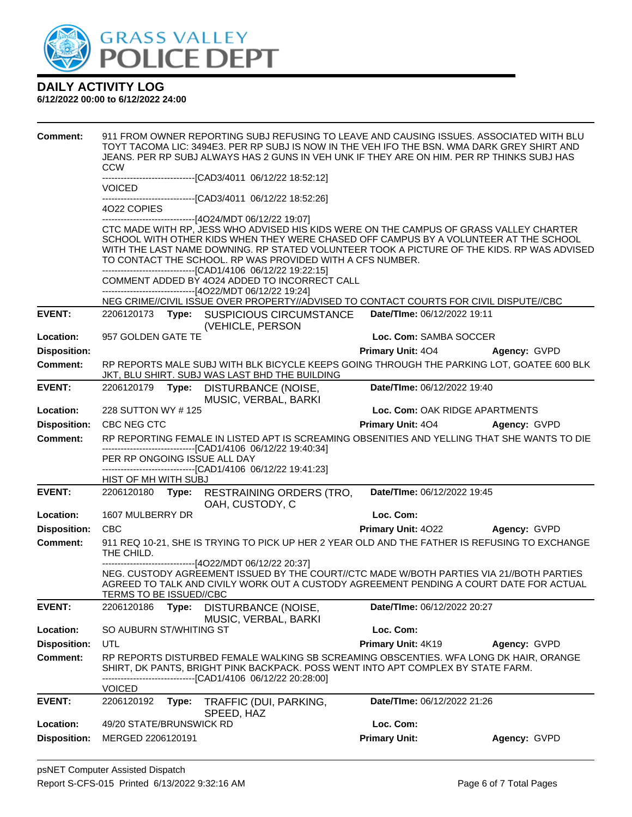

| <b>Comment:</b>     | <b>CCW</b>               |       | 911 FROM OWNER REPORTING SUBJ REFUSING TO LEAVE AND CAUSING ISSUES. ASSOCIATED WITH BLU<br>TOYT TACOMA LIC: 3494E3. PER RP SUBJ IS NOW IN THE VEH IFO THE BSN. WMA DARK GREY SHIRT AND<br>JEANS. PER RP SUBJ ALWAYS HAS 2 GUNS IN VEH UNK IF THEY ARE ON HIM. PER RP THINKS SUBJ HAS                                                                                                                                                                                                                                                                                                                                                                                       |                                |                     |
|---------------------|--------------------------|-------|----------------------------------------------------------------------------------------------------------------------------------------------------------------------------------------------------------------------------------------------------------------------------------------------------------------------------------------------------------------------------------------------------------------------------------------------------------------------------------------------------------------------------------------------------------------------------------------------------------------------------------------------------------------------------|--------------------------------|---------------------|
|                     | <b>VOICED</b>            |       | --------------------------[CAD3/4011_06/12/22_18:52:12]                                                                                                                                                                                                                                                                                                                                                                                                                                                                                                                                                                                                                    |                                |                     |
|                     | 4022 COPIES              |       | ------------------------------[CAD3/4011 06/12/22 18:52:26]                                                                                                                                                                                                                                                                                                                                                                                                                                                                                                                                                                                                                |                                |                     |
|                     |                          |       | ------------------------------[4O24/MDT 06/12/22 19:07]<br>CTC MADE WITH RP, JESS WHO ADVISED HIS KIDS WERE ON THE CAMPUS OF GRASS VALLEY CHARTER<br>SCHOOL WITH OTHER KIDS WHEN THEY WERE CHASED OFF CAMPUS BY A VOLUNTEER AT THE SCHOOL<br>WITH THE LAST NAME DOWNING. RP STATED VOLUNTEER TOOK A PICTURE OF THE KIDS. RP WAS ADVISED<br>TO CONTACT THE SCHOOL. RP WAS PROVIDED WITH A CFS NUMBER.<br>-------------------------------[CAD1/4106 06/12/22 19:22:15]<br>COMMENT ADDED BY 4024 ADDED TO INCORRECT CALL<br>------------------------------[4O22/MDT 06/12/22 19:24]<br>NEG CRIME//CIVIL ISSUE OVER PROPERTY//ADVISED TO CONTACT COURTS FOR CIVIL DISPUTE//CBC |                                |                     |
| <b>EVENT:</b>       |                          |       | 2206120173 Type: SUSPICIOUS CIRCUMSTANCE<br>(VEHICLE, PERSON                                                                                                                                                                                                                                                                                                                                                                                                                                                                                                                                                                                                               | Date/TIme: 06/12/2022 19:11    |                     |
| Location:           | 957 GOLDEN GATE TE       |       |                                                                                                                                                                                                                                                                                                                                                                                                                                                                                                                                                                                                                                                                            | Loc. Com: SAMBA SOCCER         |                     |
| <b>Disposition:</b> |                          |       |                                                                                                                                                                                                                                                                                                                                                                                                                                                                                                                                                                                                                                                                            | Primary Unit: 404 Agency: GVPD |                     |
| Comment:            |                          |       | RP REPORTS MALE SUBJ WITH BLK BICYCLE KEEPS GOING THROUGH THE PARKING LOT, GOATEE 600 BLK<br>JKT, BLU SHIRT. SUBJ WAS LAST BHD THE BUILDING                                                                                                                                                                                                                                                                                                                                                                                                                                                                                                                                |                                |                     |
| <b>EVENT:</b>       | 2206120179 Type:         |       | DISTURBANCE (NOISE,<br>MUSIC, VERBAL, BARKI                                                                                                                                                                                                                                                                                                                                                                                                                                                                                                                                                                                                                                | Date/TIme: 06/12/2022 19:40    |                     |
| Location:           | 228 SUTTON WY #125       |       |                                                                                                                                                                                                                                                                                                                                                                                                                                                                                                                                                                                                                                                                            | Loc. Com: OAK RIDGE APARTMENTS |                     |
| <b>Disposition:</b> | CBC NEG CTC              |       |                                                                                                                                                                                                                                                                                                                                                                                                                                                                                                                                                                                                                                                                            | <b>Primary Unit: 404</b>       | <b>Agency: GVPD</b> |
| <b>Comment:</b>     |                          |       | RP REPORTING FEMALE IN LISTED APT IS SCREAMING OBSENITIES AND YELLING THAT SHE WANTS TO DIE                                                                                                                                                                                                                                                                                                                                                                                                                                                                                                                                                                                |                                |                     |
|                     |                          |       | -------------------------------[CAD1/4106 06/12/22 19:40:34]<br>PER RP ONGOING ISSUE ALL DAY                                                                                                                                                                                                                                                                                                                                                                                                                                                                                                                                                                               |                                |                     |
|                     |                          |       | -----------------------[CAD1/4106 06/12/22 19:41:23]                                                                                                                                                                                                                                                                                                                                                                                                                                                                                                                                                                                                                       |                                |                     |
|                     | HIST OF MH WITH SUBJ     |       |                                                                                                                                                                                                                                                                                                                                                                                                                                                                                                                                                                                                                                                                            |                                |                     |
| <b>EVENT:</b>       |                          |       | 2206120180 Type: RESTRAINING ORDERS (TRO,<br>OAH, CUSTODY, C                                                                                                                                                                                                                                                                                                                                                                                                                                                                                                                                                                                                               | Date/TIme: 06/12/2022 19:45    |                     |
| Location:           | 1607 MULBERRY DR         |       |                                                                                                                                                                                                                                                                                                                                                                                                                                                                                                                                                                                                                                                                            | Loc. Com:                      |                     |
| <b>Disposition:</b> | <b>CBC</b>               |       |                                                                                                                                                                                                                                                                                                                                                                                                                                                                                                                                                                                                                                                                            | <b>Primary Unit: 4022</b>      | Agency: GVPD        |
| <b>Comment:</b>     | THE CHILD.               |       | 911 REQ 10-21, SHE IS TRYING TO PICK UP HER 2 YEAR OLD AND THE FATHER IS REFUSING TO EXCHANGE                                                                                                                                                                                                                                                                                                                                                                                                                                                                                                                                                                              |                                |                     |
|                     | TERMS TO BE ISSUED//CBC  |       | ------------------------------[4O22/MDT 06/12/22 20:37]<br>NEG. CUSTODY AGREEMENT ISSUED BY THE COURT//CTC MADE W/BOTH PARTIES VIA 21//BOTH PARTIES<br>AGREED TO TALK AND CIVILY WORK OUT A CUSTODY AGREEMENT PENDING A COURT DATE FOR ACTUAL                                                                                                                                                                                                                                                                                                                                                                                                                              |                                |                     |
| <b>EVENT:</b>       | 2206120186               | Type: | DISTURBANCE (NOISE,<br>MUSIC, VERBAL, BARKI                                                                                                                                                                                                                                                                                                                                                                                                                                                                                                                                                                                                                                | Date/TIme: 06/12/2022 20:27    |                     |
| Location:           | SO AUBURN ST/WHITING ST  |       |                                                                                                                                                                                                                                                                                                                                                                                                                                                                                                                                                                                                                                                                            | Loc. Com:                      |                     |
| <b>Disposition:</b> | UTL                      |       |                                                                                                                                                                                                                                                                                                                                                                                                                                                                                                                                                                                                                                                                            | Primary Unit: 4K19             | Agency: GVPD        |
| <b>Comment:</b>     |                          |       | RP REPORTS DISTURBED FEMALE WALKING SB SCREAMING OBSCENTIES. WFA LONG DK HAIR, ORANGE<br>SHIRT, DK PANTS, BRIGHT PINK BACKPACK. POSS WENT INTO APT COMPLEX BY STATE FARM.<br>------------------[CAD1/4106 06/12/22 20:28:00]                                                                                                                                                                                                                                                                                                                                                                                                                                               |                                |                     |
| <b>EVENT:</b>       | <b>VOICED</b>            |       |                                                                                                                                                                                                                                                                                                                                                                                                                                                                                                                                                                                                                                                                            | Date/TIme: 06/12/2022 21:26    |                     |
|                     | 2206120192               | Type: | TRAFFIC (DUI, PARKING,<br>SPEED, HAZ                                                                                                                                                                                                                                                                                                                                                                                                                                                                                                                                                                                                                                       |                                |                     |
| Location:           | 49/20 STATE/BRUNSWICK RD |       |                                                                                                                                                                                                                                                                                                                                                                                                                                                                                                                                                                                                                                                                            | Loc. Com:                      |                     |
| <b>Disposition:</b> | MERGED 2206120191        |       |                                                                                                                                                                                                                                                                                                                                                                                                                                                                                                                                                                                                                                                                            | <b>Primary Unit:</b>           | Agency: GVPD        |